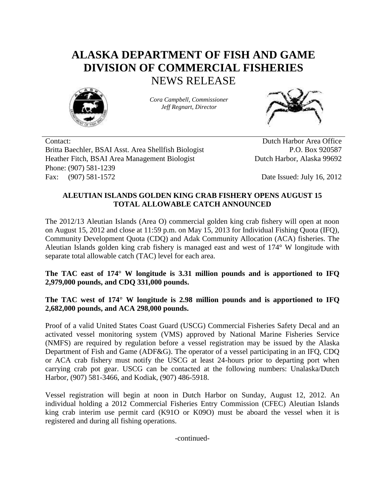## **ALASKA DEPARTMENT OF FISH AND GAME DIVISION OF COMMERCIAL FISHERIES** NEWS RELEASE



*Cora Campbell, Commissioner Jeff Regnart, Director*



Contact: Dutch Harbor Area Office Britta Baechler, BSAI Asst. Area Shellfish Biologist P.O. Box 920587 Heather Fitch, BSAI Area Management Biologist Dutch Harbor, Alaska 99692 Phone: (907) 581-1239 Fax: (907) 581-1572 Date Issued: July 16, 2012

## **ALEUTIAN ISLANDS GOLDEN KING CRAB FISHERY OPENS AUGUST 15 TOTAL ALLOWABLE CATCH ANNOUNCED**

The 2012/13 Aleutian Islands (Area O) commercial golden king crab fishery will open at noon on August 15, 2012 and close at 11:59 p.m. on May 15, 2013 for Individual Fishing Quota (IFQ), Community Development Quota (CDQ) and Adak Community Allocation (ACA) fisheries. The Aleutian Islands golden king crab fishery is managed east and west of 174° W longitude with separate total allowable catch (TAC) level for each area.

**The TAC east of 174° W longitude is 3.31 million pounds and is apportioned to IFQ 2,979,000 pounds, and CDQ 331,000 pounds.**

**The TAC west of 174° W longitude is 2.98 million pounds and is apportioned to IFQ 2,682,000 pounds, and ACA 298,000 pounds.**

Proof of a valid United States Coast Guard (USCG) Commercial Fisheries Safety Decal and an activated vessel monitoring system (VMS) approved by National Marine Fisheries Service (NMFS) are required by regulation before a vessel registration may be issued by the Alaska Department of Fish and Game (ADF&G). The operator of a vessel participating in an IFQ, CDQ or ACA crab fishery must notify the USCG at least 24-hours prior to departing port when carrying crab pot gear. USCG can be contacted at the following numbers: Unalaska/Dutch Harbor, (907) 581-3466, and Kodiak, (907) 486-5918.

Vessel registration will begin at noon in Dutch Harbor on Sunday, August 12, 2012. An individual holding a 2012 Commercial Fisheries Entry Commission (CFEC) Aleutian Islands king crab interim use permit card (K91O or K09O) must be aboard the vessel when it is registered and during all fishing operations.

-continued-